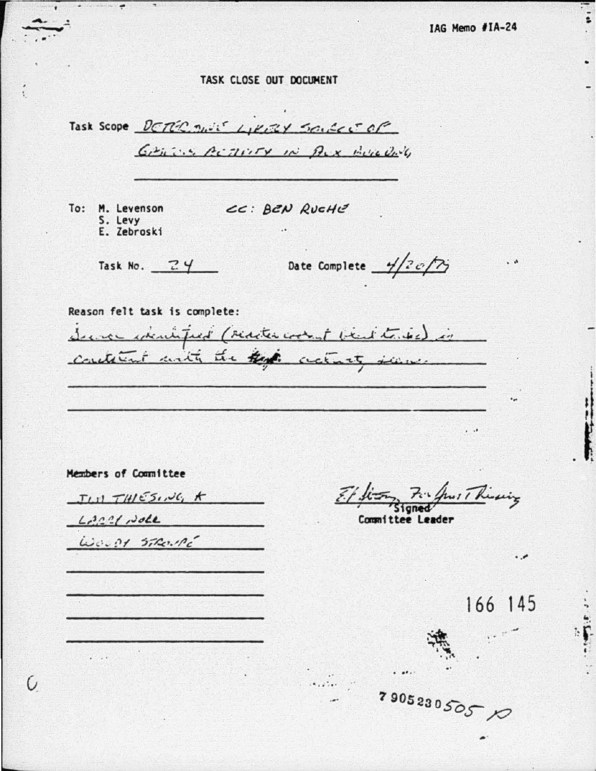## TASK CLOSE OUT DOCUMENT

 $\bullet$  . We define  $\bullet$ 

O

Task Scope DETER THIS LIKELY SOULCE OF GARING ACTRICY IN AUX HOW DAY CC: BEN RUCHE To: M. Levenson S. Levy E. Zebroski Date Complete  $\frac{1}{2}$  of  $\gamma$ Task No.  $24$ Reason felt task is complete: Server executified (redacted cooked bead to the ) is containt with the that actualy seem.  $\sim$   $\sim$ Members of Committee 17 Rivering  $T(H)$  $T(H)$  $5.70$ ; t  $L222$   $L302$ Committee Leader WOUPS STRONG  $\cdot$ 166 145  $\begin{array}{ccccc}\n\bullet & \bullet & \bullet & \bullet\n\end{array}$ 79052305050